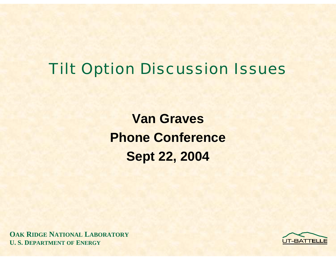## Tilt Option Discussion Issues

**Van GravesPhone Conference Sept 22, 2004**

**OAK RIDGE NATIONAL LABORATORY U. S. DEPARTMENT OF ENERGY**

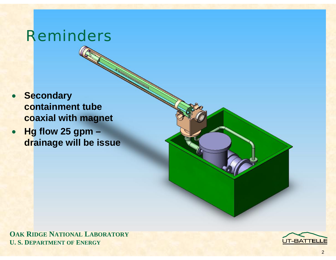## Reminders

- • **Secondary containment tube coaxial with magnet**
- **Hg flow 25 gpm – drainage will be issue**



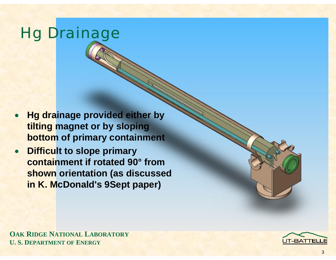# Hg Drainage

- $\bullet$  **Hg drainage provided either by tilting magnet or by sloping bottom of primary containment**
- $\bullet$  **Difficult to slope primary containment if rotated 90° from shown orientation (as discussed in K. McDonald's 9Sept paper)**

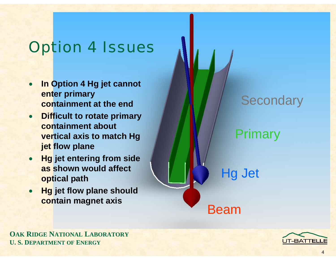# Option 4 Issues

- • **In Option 4 Hg jet cannot enter primary containment at the end**
- **Difficult to rotate primary containment about vertical axis to match Hg jet flow plane**
- • **Hg jet entering from side as shown would affect optical path**
- • **Hg jet flow plane should contain magnet axis Beam**

#### **Secondary**

Primary

Hg Jet



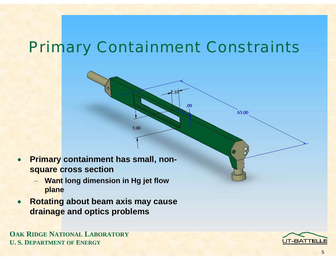# Primary Containment Constraints

 $\Omega$ 

65.00

- • **Primary containment has small, nonsquare cross section**
	- − **Want long dimension in Hg jet flow plane**

5.00

• **Rotating about beam axis may cause drainage and optics problems**